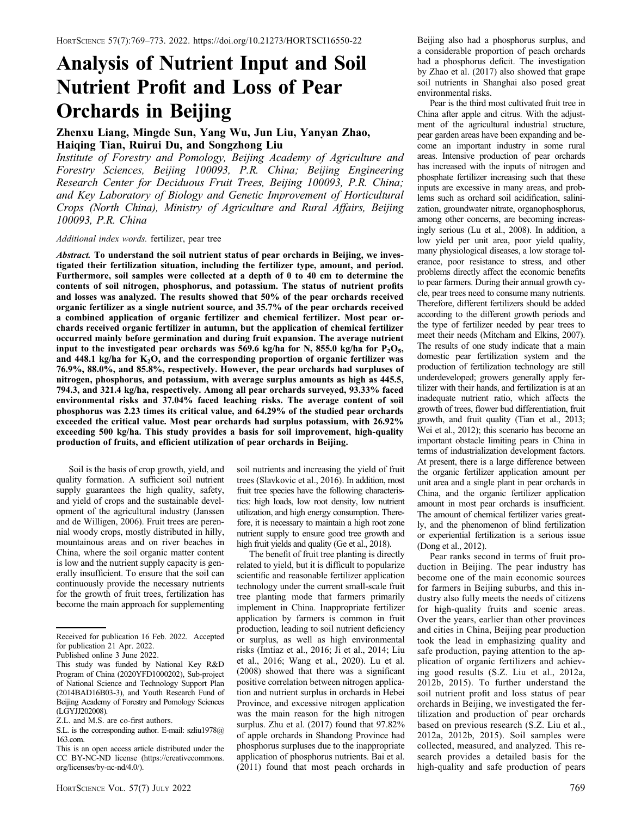# Analysis of Nutrient Input and Soil Nutrient Profit and Loss of Pear Orchards in Beijing

## Zhenxu Liang, Mingde Sun, Yang Wu, Jun Liu, Yanyan Zhao, Haiqing Tian, Ruirui Du, and Songzhong Liu

Institute of Forestry and Pomology, Beijing Academy of Agriculture and Forestry Sciences, Beijing 100093, P.R. China; Beijing Engineering Research Center for Deciduous Fruit Trees, Beijing 100093, P.R. China; and Key Laboratory of Biology and Genetic Improvement of Horticultural Crops (North China), Ministry of Agriculture and Rural Affairs, Beijing 100093, P.R. China

### Additional index words. fertilizer, pear tree

Abstract. To understand the soil nutrient status of pear orchards in Beijing, we investigated their fertilization situation, including the fertilizer type, amount, and period. Furthermore, soil samples were collected at a depth of 0 to 40 cm to determine the contents of soil nitrogen, phosphorus, and potassium. The status of nutrient profits and losses was analyzed. The results showed that 50% of the pear orchards received organic fertilizer as a single nutrient source, and 35.7% of the pear orchards received a combined application of organic fertilizer and chemical fertilizer. Most pear orchards received organic fertilizer in autumn, but the application of chemical fertilizer occurred mainly before germination and during fruit expansion. The average nutrient input to the investigated pear orchards was 569.6 kg/ha for N, 855.0 kg/ha for  $P_2O_5$ , and 448.1 kg/ha for  $K_2O$ , and the corresponding proportion of organic fertilizer was 76.9%, 88.0%, and 85.8%, respectively. However, the pear orchards had surpluses of nitrogen, phosphorus, and potassium, with average surplus amounts as high as 445.5, 794.3, and 321.4 kg/ha, respectively. Among all pear orchards surveyed, 93.33% faced environmental risks and 37.04% faced leaching risks. The average content of soil phosphorus was 2.23 times its critical value, and 64.29% of the studied pear orchards exceeded the critical value. Most pear orchards had surplus potassium, with 26.92% exceeding 500 kg/ha. This study provides a basis for soil improvement, high-quality production of fruits, and efficient utilization of pear orchards in Beijing.

Soil is the basis of crop growth, yield, and quality formation. A sufficient soil nutrient supply guarantees the high quality, safety, and yield of crops and the sustainable development of the agricultural industry (Janssen and de Willigen, 2006). Fruit trees are perennial woody crops, mostly distributed in hilly, mountainous areas and on river beaches in China, where the soil organic matter content is low and the nutrient supply capacity is generally insufficient. To ensure that the soil can continuously provide the necessary nutrients for the growth of fruit trees, fertilization has become the main approach for supplementing

soil nutrients and increasing the yield of fruit trees (Slavkovic et al., 2016). In addition, most fruit tree species have the following characteristics: high loads, low root density, low nutrient utilization, and high energy consumption. Therefore, it is necessary to maintain a high root zone nutrient supply to ensure good tree growth and high fruit yields and quality (Ge et al., 2018).

The benefit of fruit tree planting is directly related to yield, but it is difficult to popularize scientific and reasonable fertilizer application technology under the current small-scale fruit tree planting mode that farmers primarily implement in China. Inappropriate fertilizer application by farmers is common in fruit production, leading to soil nutrient deficiency or surplus, as well as high environmental risks (Imtiaz et al., 2016; Ji et al., 2014; Liu et al., 2016; Wang et al., 2020). Lu et al. (2008) showed that there was a significant positive correlation between nitrogen application and nutrient surplus in orchards in Hebei Province, and excessive nitrogen application was the main reason for the high nitrogen surplus. Zhu et al. (2017) found that 97.82% of apple orchards in Shandong Province had phosphorus surpluses due to the inappropriate application of phosphorus nutrients. Bai et al. (2011) found that most peach orchards in

Beijing also had a phosphorus surplus, and a considerable proportion of peach orchards had a phosphorus deficit. The investigation by Zhao et al. (2017) also showed that grape soil nutrients in Shanghai also posed great environmental risks.

Pear is the third most cultivated fruit tree in China after apple and citrus. With the adjustment of the agricultural industrial structure, pear garden areas have been expanding and become an important industry in some rural areas. Intensive production of pear orchards has increased with the inputs of nitrogen and phosphate fertilizer increasing such that these inputs are excessive in many areas, and problems such as orchard soil acidification, salinization, groundwater nitrate, organophosphorus, among other concerns, are becoming increasingly serious (Lu et al., 2008). In addition, a low yield per unit area, poor yield quality, many physiological diseases, a low storage tolerance, poor resistance to stress, and other problems directly affect the economic benefits to pear farmers. During their annual growth cycle, pear trees need to consume many nutrients. Therefore, different fertilizers should be added according to the different growth periods and the type of fertilizer needed by pear trees to meet their needs (Mitcham and Elkins, 2007). The results of one study indicate that a main domestic pear fertilization system and the production of fertilization technology are still underdeveloped; growers generally apply fertilizer with their hands, and fertilization is at an inadequate nutrient ratio, which affects the growth of trees, flower bud differentiation, fruit growth, and fruit quality (Tian et al., 2013; Wei et al., 2012); this scenario has become an important obstacle limiting pears in China in terms of industrialization development factors. At present, there is a large difference between the organic fertilizer application amount per unit area and a single plant in pear orchards in China, and the organic fertilizer application amount in most pear orchards is insufficient. The amount of chemical fertilizer varies greatly, and the phenomenon of blind fertilization or experiential fertilization is a serious issue (Dong et al., 2012).

Pear ranks second in terms of fruit production in Beijing. The pear industry has become one of the main economic sources for farmers in Beijing suburbs, and this industry also fully meets the needs of citizens for high-quality fruits and scenic areas. Over the years, earlier than other provinces and cities in China, Beijing pear production took the lead in emphasizing quality and safe production, paying attention to the application of organic fertilizers and achieving good results (S.Z. Liu et al., 2012a, 2012b, 2015). To further understand the soil nutrient profit and loss status of pear orchards in Beijing, we investigated the fertilization and production of pear orchards based on previous research (S.Z. Liu et al., 2012a, 2012b, 2015). Soil samples were collected, measured, and analyzed. This research provides a detailed basis for the high-quality and safe production of pears

Received for publication 16 Feb. 2022. Accepted for publication 21 Apr. 2022.

Published online 3 June 2022.

This study was funded by National Key R&D Program of China (2020YFD1000202), Sub-project of National Science and Technology Support Plan (2014BAD16B03-3), and Youth Research Fund of Beijing Academy of Forestry and Pomology Sciences (LGYJJ202008).

Z.L. and M.S. are co-first authors.

S.L. is the corresponding author. E-mail: [szliu1978@](mailto:szliu1978@163.com) [163.com.](mailto:szliu1978@163.com)

This is an open access article distributed under the CC BY-NC-ND license [\(https://creativecommons.](https://creativecommons.org/licenses/by-nc-nd/4.0/) [org/licenses/by-nc-nd/4.0/\)](https://creativecommons.org/licenses/by-nc-nd/4.0/).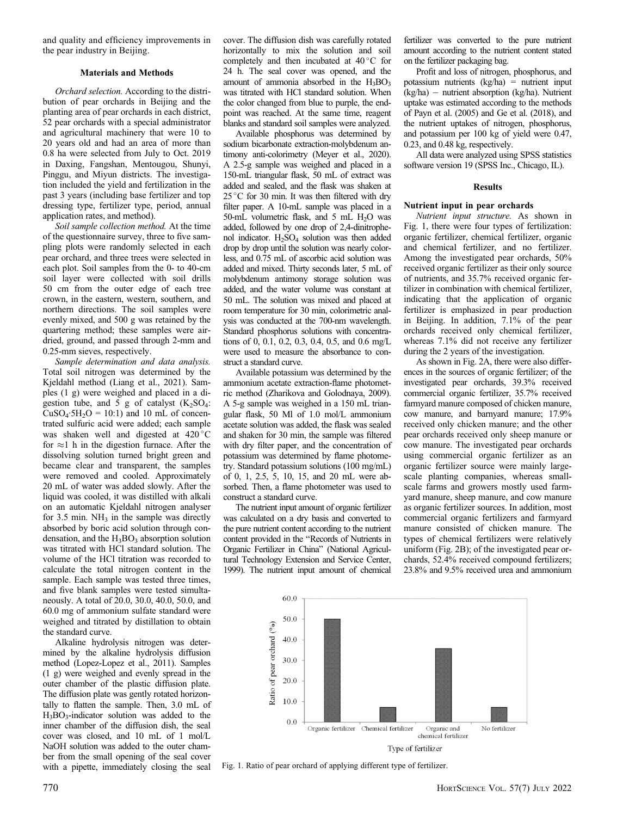and quality and efficiency improvements in the pear industry in Beijing.

#### Materials and Methods

Orchard selection. According to the distribution of pear orchards in Beijing and the planting area of pear orchards in each district, 52 pear orchards with a special administrator and agricultural machinery that were 10 to 20 years old and had an area of more than 0.8 ha were selected from July to Oct. 2019 in Daxing, Fangshan, Mentougou, Shunyi, Pinggu, and Miyun districts. The investigation included the yield and fertilization in the past 3 years (including base fertilizer and top dressing type, fertilizer type, period, annual application rates, and method).

Soil sample collection method. At the time of the questionnaire survey, three to five sampling plots were randomly selected in each pear orchard, and three trees were selected in each plot. Soil samples from the 0- to 40-cm soil layer were collected with soil drills 50 cm from the outer edge of each tree crown, in the eastern, western, southern, and northern directions. The soil samples were evenly mixed, and 500 g was retained by the quartering method; these samples were airdried, ground, and passed through 2-mm and 0.25-mm sieves, respectively.

Sample determination and data analysis. Total soil nitrogen was determined by the Kjeldahl method (Liang et al., 2021). Samples (1 g) were weighed and placed in a digestion tube, and  $5$  g of catalyst  $(K_2SO_4)$ :  $CuSO<sub>4</sub>·5H<sub>2</sub>O = 10:1$  and 10 mL of concentrated sulfuric acid were added; each sample was shaken well and digested at 420 °C for  $\approx$ 1 h in the digestion furnace. After the dissolving solution turned bright green and became clear and transparent, the samples were removed and cooled. Approximately 20 mL of water was added slowly. After the liquid was cooled, it was distilled with alkali on an automatic Kjeldahl nitrogen analyser for  $3.5$  min. NH<sub>3</sub> in the sample was directly absorbed by boric acid solution through condensation, and the  $H_3BO_3$  absorption solution was titrated with HCl standard solution. The volume of the HCl titration was recorded to calculate the total nitrogen content in the sample. Each sample was tested three times, and five blank samples were tested simultaneously. A total of 20.0, 30.0, 40.0, 50.0, and 60.0 mg of ammonium sulfate standard were weighed and titrated by distillation to obtain the standard curve.

Alkaline hydrolysis nitrogen was determined by the alkaline hydrolysis diffusion method (Lopez-Lopez et al., 2011). Samples (1 g) were weighed and evenly spread in the outer chamber of the plastic diffusion plate. The diffusion plate was gently rotated horizontally to flatten the sample. Then, 3.0 mL of  $H_3BO_3$ -indicator solution was added to the inner chamber of the diffusion dish, the seal cover was closed, and 10 mL of 1 mol/L NaOH solution was added to the outer chamber from the small opening of the seal cover with a pipette, immediately closing the seal cover. The diffusion dish was carefully rotated horizontally to mix the solution and soil completely and then incubated at  $40^{\circ}$ C for 24 h. The seal cover was opened, and the amount of ammonia absorbed in the  $H_3BO_3$ was titrated with HCl standard solution. When the color changed from blue to purple, the endpoint was reached. At the same time, reagent blanks and standard soil samples were analyzed.

Available phosphorus was determined by sodium bicarbonate extraction-molybdenum antimony anti-colorimetry (Meyer et al., 2020). A 2.5-g sample was weighed and placed in a 150-mL triangular flask, 50 mL of extract was added and sealed, and the flask was shaken at  $25^{\circ}$ C for 30 min. It was then filtered with drv filter paper. A 10-mL sample was placed in a 50-mL volumetric flask, and 5 mL  $H<sub>2</sub>O$  was added, followed by one drop of 2,4-dinitrophenol indicator. H2SO4 solution was then added drop by drop until the solution was nearly colorless, and 0.75 mL of ascorbic acid solution was added and mixed. Thirty seconds later, 5 mL of molybdenum antimony storage solution was added, and the water volume was constant at 50 mL. The solution was mixed and placed at room temperature for 30 min, colorimetric analysis was conducted at the 700-nm wavelength. Standard phosphorus solutions with concentrations of 0, 0.1, 0.2, 0.3, 0.4, 0.5, and 0.6 mg/L were used to measure the absorbance to construct a standard curve.

Available potassium was determined by the ammonium acetate extraction-flame photometric method (Zharikova and Golodnaya, 2009). A 5-g sample was weighed in a 150 mL triangular flask, 50 Ml of 1.0 mol/L ammonium acetate solution was added, the flask was sealed and shaken for 30 min, the sample was filtered with dry filter paper, and the concentration of potassium was determined by flame photometry. Standard potassium solutions (100 mg/mL) of 0, 1, 2.5, 5, 10, 15, and 20 mL were absorbed. Then, a flame photometer was used to construct a standard curve.

The nutrient input amount of organic fertilizer was calculated on a dry basis and converted to the pure nutrient content according to the nutrient content provided in the "Records of Nutrients in Organic Fertilizer in China" (National Agricultural Technology Extension and Service Center, 1999). The nutrient input amount of chemical

fertilizer was converted to the pure nutrient amount according to the nutrient content stated on the fertilizer packaging bag.

Profit and loss of nitrogen, phosphorus, and potassium nutrients (kg/ha) = nutrient input  $(kg/ha)$  – nutrient absorption  $(kg/ha)$ . Nutrient uptake was estimated according to the methods of Payn et al. (2005) and Ge et al. (2018), and the nutrient uptakes of nitrogen, phosphorus, and potassium per 100 kg of yield were 0.47, 0.23, and 0.48 kg, respectively.

All data were analyzed using SPSS statistics software version 19 (SPSS Inc., Chicago, IL).

#### Results

#### Nutrient input in pear orchards

Nutrient input structure. As shown in Fig. 1, there were four types of fertilization: organic fertilizer, chemical fertilizer, organic and chemical fertilizer, and no fertilizer. Among the investigated pear orchards, 50% received organic fertilizer as their only source of nutrients, and 35.7% received organic fertilizer in combination with chemical fertilizer, indicating that the application of organic fertilizer is emphasized in pear production in Beijing. In addition, 7.1% of the pear orchards received only chemical fertilizer, whereas 7.1% did not receive any fertilizer during the 2 years of the investigation.

As shown in Fig. 2A, there were also differences in the sources of organic fertilizer; of the investigated pear orchards, 39.3% received commercial organic fertilizer, 35.7% received farmyard manure composed of chicken manure, cow manure, and barnyard manure; 17.9% received only chicken manure; and the other pear orchards received only sheep manure or cow manure. The investigated pear orchards using commercial organic fertilizer as an organic fertilizer source were mainly largescale planting companies, whereas smallscale farms and growers mostly used farmyard manure, sheep manure, and cow manure as organic fertilizer sources. In addition, most commercial organic fertilizers and farmyard manure consisted of chicken manure. The types of chemical fertilizers were relatively uniform (Fig. 2B); of the investigated pear orchards, 52.4% received compound fertilizers; 23.8% and 9.5% received urea and ammonium



Fig. 1. Ratio of pear orchard of applying different type of fertilizer.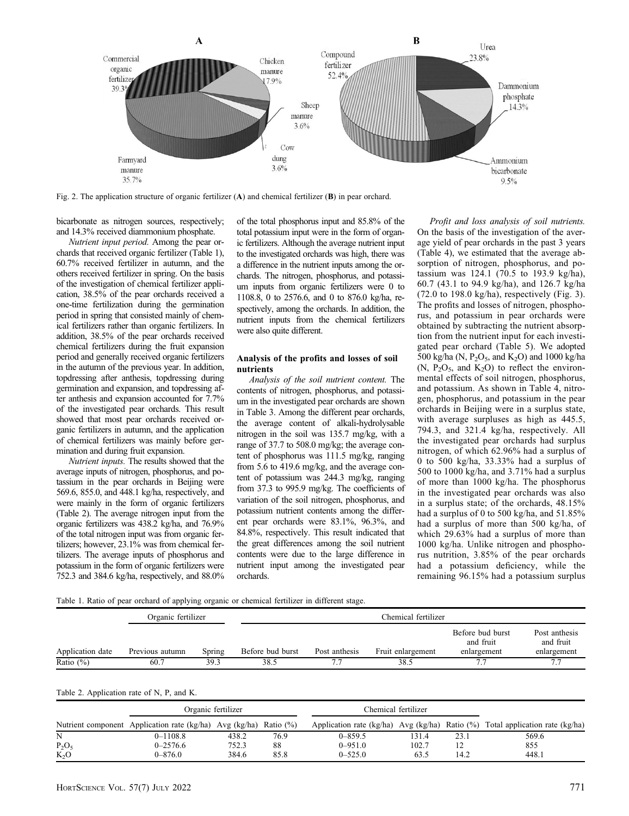

Fig. 2. The application structure of organic fertilizer  $(A)$  and chemical fertilizer  $(B)$  in pear orchard.

bicarbonate as nitrogen sources, respectively; and 14.3% received diammonium phosphate.

Nutrient input period. Among the pear orchards that received organic fertilizer (Table 1), 60.7% received fertilizer in autumn, and the others received fertilizer in spring. On the basis of the investigation of chemical fertilizer application, 38.5% of the pear orchards received a one-time fertilization during the germination period in spring that consisted mainly of chemical fertilizers rather than organic fertilizers. In addition, 38.5% of the pear orchards received chemical fertilizers during the fruit expansion period and generally received organic fertilizers in the autumn of the previous year. In addition, topdressing after anthesis, topdressing during germination and expansion, and topdressing after anthesis and expansion accounted for 7.7% of the investigated pear orchards. This result showed that most pear orchards received organic fertilizers in autumn, and the application of chemical fertilizers was mainly before germination and during fruit expansion.

Nutrient inputs. The results showed that the average inputs of nitrogen, phosphorus, and potassium in the pear orchards in Beijing were 569.6, 855.0, and 448.1 kg/ha, respectively, and were mainly in the form of organic fertilizers (Table 2). The average nitrogen input from the organic fertilizers was 438.2 kg/ha, and 76.9% of the total nitrogen input was from organic fertilizers; however, 23.1% was from chemical fertilizers. The average inputs of phosphorus and potassium in the form of organic fertilizers were 752.3 and 384.6 kg/ha, respectively, and 88.0% of the total phosphorus input and 85.8% of the total potassium input were in the form of organic fertilizers. Although the average nutrient input to the investigated orchards was high, there was a difference in the nutrient inputs among the orchards. The nitrogen, phosphorus, and potassium inputs from organic fertilizers were 0 to 1108.8, 0 to 2576.6, and 0 to 876.0 kg/ha, respectively, among the orchards. In addition, the nutrient inputs from the chemical fertilizers were also quite different.

#### Analysis of the profits and losses of soil nutrients

Analysis of the soil nutrient content. The contents of nitrogen, phosphorus, and potassium in the investigated pear orchards are shown in Table 3. Among the different pear orchards, the average content of alkali-hydrolysable nitrogen in the soil was 135.7 mg/kg, with a range of 37.7 to 508.0 mg/kg; the average content of phosphorus was 111.5 mg/kg, ranging from 5.6 to 419.6 mg/kg, and the average content of potassium was 244.3 mg/kg, ranging from 37.3 to 995.9 mg/kg. The coefficients of variation of the soil nitrogen, phosphorus, and potassium nutrient contents among the different pear orchards were 83.1%, 96.3%, and 84.8%, respectively. This result indicated that the great differences among the soil nutrient contents were due to the large difference in nutrient input among the investigated pear orchards.

Profit and loss analysis of soil nutrients. On the basis of the investigation of the average yield of pear orchards in the past 3 years (Table 4), we estimated that the average absorption of nitrogen, phosphorus, and potassium was 124.1 (70.5 to 193.9 kg/ha), 60.7 (43.1 to 94.9 kg/ha), and 126.7 kg/ha (72.0 to 198.0 kg/ha), respectively (Fig. 3). The profits and losses of nitrogen, phosphorus, and potassium in pear orchards were obtained by subtracting the nutrient absorption from the nutrient input for each investigated pear orchard (Table 5). We adopted 500 kg/ha (N,  $P_2O_5$ , and K<sub>2</sub>O) and 1000 kg/ha  $(N, P<sub>2</sub>O<sub>5</sub>, and K<sub>2</sub>O)$  to reflect the environmental effects of soil nitrogen, phosphorus, and potassium. As shown in Table 4, nitrogen, phosphorus, and potassium in the pear orchards in Beijing were in a surplus state, with average surpluses as high as 445.5, 794.3, and 321.4 kg/ha, respectively. All the investigated pear orchards had surplus nitrogen, of which 62.96% had a surplus of 0 to 500 kg/ha, 33.33% had a surplus of 500 to 1000 kg/ha, and 3.71% had a surplus of more than 1000 kg/ha. The phosphorus in the investigated pear orchards was also in a surplus state; of the orchards, 48.15% had a surplus of 0 to 500 kg/ha, and 51.85% had a surplus of more than 500 kg/ha, of which 29.63% had a surplus of more than 1000 kg/ha. Unlike nitrogen and phosphorus nutrition, 3.85% of the pear orchards had a potassium deficiency, while the remaining 96.15% had a potassium surplus

Table 1. Ratio of pear orchard of applying organic or chemical fertilizer in different stage.

|                  | Organic fertilizer |        | Chemical fertilizer |               |                   |                                              |                                           |
|------------------|--------------------|--------|---------------------|---------------|-------------------|----------------------------------------------|-------------------------------------------|
| Application date | Previous autumn    | Spring | Before bud burst    | Post anthesis | Fruit enlargement | Before bud burst<br>and fruit<br>enlargement | Post anthesis<br>and fruit<br>enlargement |
| Ratio $(\%)$     | 60.7               | 39.3   | 38.5                |               | 38.5              | 7.7                                          | 77                                        |

|  | Table 2. Application rate of N, P, and K. |  |  |  |
|--|-------------------------------------------|--|--|--|
|--|-------------------------------------------|--|--|--|

|          | Organic fertilizer                                                       |       |      | Chemical fertilizer |       |      |                                                                               |  |
|----------|--------------------------------------------------------------------------|-------|------|---------------------|-------|------|-------------------------------------------------------------------------------|--|
|          | Nutrient component Application rate $(kg/ha)$ Avg $(kg/ha)$ Ratio $(\%)$ |       |      |                     |       |      | Application rate (kg/ha) Avg (kg/ha) Ratio (%) Total application rate (kg/ha) |  |
| N        | $0 - 1108.8$                                                             | 438.2 | 76.9 | $0 - 859.5$         | 131.4 | 23.1 | 569.6                                                                         |  |
| $P_2O_5$ | $0 - 2576.6$                                                             | 752.3 | 88   | $0 - 951.0$         | 102.7 |      | 855                                                                           |  |
| $K_2O$   | $0 - 876.0$                                                              | 384.6 | 85.8 | $0 - 525.0$         | 63.5  | 14.2 | 448.1                                                                         |  |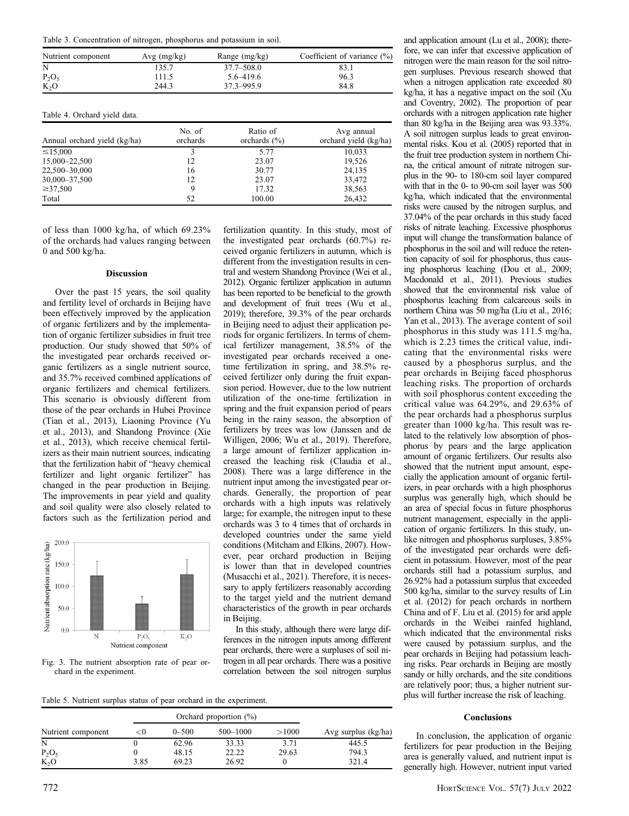Table 3. Concentration of nitrogen, phosphorus and potassium in soil.

| Nutrient component | Avg (mg/kg) | Range (mg/kg)  | Coefficient of variance $(\%)$ |
|--------------------|-------------|----------------|--------------------------------|
| N                  | 135.7       | $37.7 - 508.0$ | 83.1                           |
| $P_2O_5$           | 111.5       | $5.6 - 419.6$  | 96.3                           |
| $K_2O$             | 244.3       | 37.3-995.9     | 84.8                           |
|                    |             |                |                                |

Table 4. Orchard yield data.

| Annual orchard yield (kg/ha) | No. of<br>orchards | Ratio of<br>orchards $(\% )$ | Avg annual<br>orchard yield (kg/ha) |
|------------------------------|--------------------|------------------------------|-------------------------------------|
| $\leq 15,000$                | 3                  | 5.77                         | 10,033                              |
| 15,000-22,500                | 12                 | 23.07                        | 19,526                              |
| 22,500-30,000                | 16                 | 30.77                        | 24,135                              |
| 30,000 - 37,500              | 12                 | 23.07                        | 33,472                              |
| $\geq 37,500$                | 9                  | 17.32                        | 38,563                              |
| Total                        | 52                 | 100.00                       | 26,432                              |

of less than 1000 kg/ha, of which 69.23% of the orchards had values ranging between 0 and 500 kg/ha.

#### Discussion

Over the past 15 years, the soil quality and fertility level of orchards in Beijing have been effectively improved by the application of organic fertilizers and by the implementation of organic fertilizer subsidies in fruit tree production. Our study showed that 50% of the investigated pear orchards received organic fertilizers as a single nutrient source, and 35.7% received combined applications of organic fertilizers and chemical fertilizers. This scenario is obviously different from those of the pear orchards in Hubei Province (Tian et al., 2013), Liaoning Province (Yu et al., 2013), and Shandong Province (Xie et al., 2013), which receive chemical fertilizers as their main nutrient sources, indicating that the fertilization habit of "heavy chemical fertilizer and light organic fertilizer" has changed in the pear production in Beijing. The improvements in pear yield and quality and soil quality were also closely related to factors such as the fertilization period and





fertilization quantity. In this study, most of the investigated pear orchards (60.7%) received organic fertilizers in autumn, which is different from the investigation results in central and western Shandong Province (Wei et al., 2012). Organic fertilizer application in autumn has been reported to be beneficial to the growth and development of fruit trees (Wu et al., 2019); therefore, 39.3% of the pear orchards in Beijing need to adjust their application periods for organic fertilizers. In terms of chemical fertilizer management, 38.5% of the investigated pear orchards received a onetime fertilization in spring, and 38.5% received fertilizer only during the fruit expansion period. However, due to the low nutrient utilization of the one-time fertilization in spring and the fruit expansion period of pears being in the rainy season, the absorption of fertilizers by trees was low (Janssen and de Willigen, 2006; Wu et al., 2019). Therefore, a large amount of fertilizer application increased the leaching risk (Claudia et al., 2008). There was a large difference in the nutrient input among the investigated pear orchards. Generally, the proportion of pear orchards with a high inputs was relatively large; for example, the nitrogen input to these orchards was 3 to 4 times that of orchards in developed countries under the same yield conditions (Mitcham and Elkins, 2007). However, pear orchard production in Beijing is lower than that in developed countries (Musacchi et al., 2021). Therefore, it is necessary to apply fertilizers reasonably according to the target yield and the nutrient demand characteristics of the growth in pear orchards in Beijing.

In this study, although there were large differences in the nitrogen inputs among different pear orchards, there were a surpluses of soil nitrogen in all pear orchards. There was a positive correlation between the soil nitrogen surplus

Table 5. Nutrient surplus status of pear orchard in the experiment.

|                    |      | Orchard proportion $(\%)$ |          |       |                     |
|--------------------|------|---------------------------|----------|-------|---------------------|
| Nutrient component | <υ   | $0 - 500$                 | 500-1000 | >1000 | Avg surplus (kg/ha) |
| N                  |      | 62.96                     | 33.33    | 3.71  | 445.5               |
| $P_2O_5$           |      | 48.15                     | 22.22    | 29.63 | 794.3               |
| $K_2O$             | 3.85 | 69.23                     | 26.92    |       | 321.4               |

and application amount (Lu et al., 2008); therefore, we can infer that excessive application of nitrogen were the main reason for the soil nitrogen surpluses. Previous research showed that when a nitrogen application rate exceeded 80 kg/ha, it has a negative impact on the soil (Xu and Coventry, 2002). The proportion of pear orchards with a nitrogen application rate higher than 80 kg/ha in the Beijing area was 93.33%. A soil nitrogen surplus leads to great environmental risks. Kou et al. (2005) reported that in the fruit tree production system in northern China, the critical amount of nitrate nitrogen surplus in the 90- to 180-cm soil layer compared with that in the 0- to 90-cm soil layer was 500 kg/ha, which indicated that the environmental risks were caused by the nitrogen surplus, and 37.04% of the pear orchards in this study faced risks of nitrate leaching. Excessive phosphorus input will change the transformation balance of phosphorus in the soil and will reduce the retention capacity of soil for phosphorus, thus causing phosphorus leaching (Dou et al., 2009; Macdonald et al., 2011). Previous studies showed that the environmental risk value of phosphorus leaching from calcareous soils in northern China was 50 mg/ha (Liu et al., 2016; Yan et al., 2013). The average content of soil phosphorus in this study was 111.5 mg/ha, which is 2.23 times the critical value, indicating that the environmental risks were caused by a phosphorus surplus, and the pear orchards in Beijing faced phosphorus leaching risks. The proportion of orchards with soil phosphorus content exceeding the critical value was 64.29%, and 29.63% of the pear orchards had a phosphorus surplus greater than 1000 kg/ha. This result was related to the relatively low absorption of phosphorus by pears and the large application amount of organic fertilizers. Our results also showed that the nutrient input amount, especially the application amount of organic fertilizers, in pear orchards with a high phosphorus surplus was generally high, which should be an area of special focus in future phosphorus nutrient management, especially in the application of organic fertilizers. In this study, unlike nitrogen and phosphorus surpluses, 3.85% of the investigated pear orchards were deficient in potassium. However, most of the pear orchards still had a potassium surplus, and 26.92% had a potassium surplus that exceeded 500 kg/ha, similar to the survey results of Lin et al. (2012) for peach orchards in northern China and of F. Liu et al. (2015) for arid apple orchards in the Weibei rainfed highland, which indicated that the environmental risks were caused by potassium surplus, and the pear orchards in Beijing had potassium leaching risks. Pear orchards in Beijing are mostly sandy or hilly orchards, and the site conditions are relatively poor; thus, a higher nutrient surplus will further increase the risk of leaching.

#### **Conclusions**

In conclusion, the application of organic fertilizers for pear production in the Beijing area is generally valued, and nutrient input is generally high. However, nutrient input varied